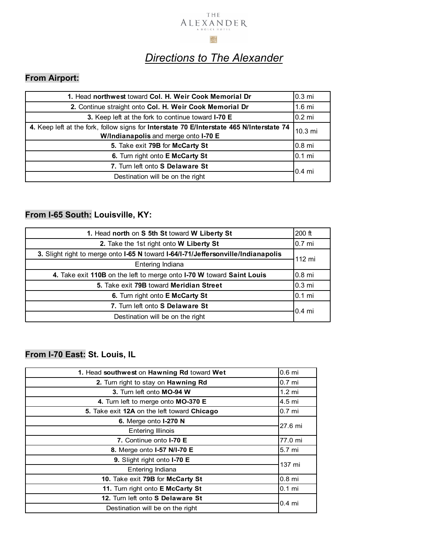#### THE ALEXANDER A DOLCE HOTE

#### 

#### *Directions to The Alexander*

#### **From Airport:**

| 1. Head northwest toward Col. H. Weir Cook Memorial Dr                                                                            | 0.3 mi           |
|-----------------------------------------------------------------------------------------------------------------------------------|------------------|
| 2. Continue straight onto Col. H. Weir Cook Memorial Dr                                                                           | $1.6$ mi         |
| 3. Keep left at the fork to continue toward I-70 E                                                                                | 0.2 mi           |
| 4. Keep left at the fork, follow signs for Interstate 70 E/Interstate 465 N/Interstate 74<br>W/Indianapolis and merge onto I-70 E | 10.3 mi          |
| 5. Take exit 79B for McCarty St                                                                                                   | 0.8 mi           |
| 6. Turn right onto E McCarty St                                                                                                   | 0.1 mi           |
| 7. Turn left onto S Delaware St                                                                                                   | $0.4 \text{ mi}$ |
| Destination will be on the right                                                                                                  |                  |

#### **From I-65 South: Louisville, KY:**

| 1. Head north on S 5th St toward W Liberty St                                     | $200$ ft         |
|-----------------------------------------------------------------------------------|------------------|
| 2. Take the 1st right onto W Liberty St                                           | 0.7 mi           |
| 3. Slight right to merge onto I-65 N toward I-64/I-71/Jeffersonville/Indianapolis | 112 mi           |
| Entering Indiana                                                                  |                  |
| 4. Take exit 110B on the left to merge onto I-70 W toward Saint Louis             | $0.8$ mi         |
| 5. Take exit 79B toward Meridian Street                                           | $0.3 \text{ mi}$ |
| 6. Turn right onto E McCarty St                                                   | l0.1 mi          |
| 7. Turn left onto S Delaware St                                                   | $0.4$ mi         |
| Destination will be on the right                                                  |                  |

#### **From I-70 East: St. Louis, IL**

| 1. Head southwest on Hawning Rd toward Wet  | $0.6$ mi          |
|---------------------------------------------|-------------------|
| 2. Turn right to stay on Hawning Rd         | 0.7 <sub>mi</sub> |
| 3. Turn left onto MO-94 W                   | $1.2 \text{ mi}$  |
| 4. Turn left to merge onto MO-370 E         | 4.5 mi            |
| 5. Take exit 12A on the left toward Chicago | 0.7 <sub>m</sub>  |
| 6. Merge onto <b>I-270 N</b>                | $27.6$ mi         |
| <b>Entering Illinois</b>                    |                   |
| 7. Continue onto <b>I-70 E</b>              | 77.0 mi           |
| 8. Merge onto 1-57 N/I-70 E                 | 5.7 mi            |
| 9. Slight right onto I-70 E                 | 137 mi            |
| Entering Indiana                            |                   |
| 10. Take exit 79B for McCarty St            | 0.8 <sub>mi</sub> |
| 11. Turn right onto E McCarty St            | $0.1$ mi          |
| 12. Turn left onto S Delaware St            | $0.4$ mi          |
| Destination will be on the right            |                   |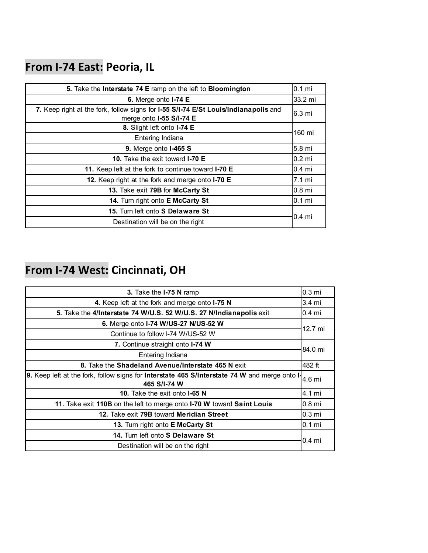### **From I-74 East: Peoria, IL**

| 5. Take the Interstate 74 E ramp on the left to Bloomington                         | $0.1$ mi          |
|-------------------------------------------------------------------------------------|-------------------|
| 6. Merge onto $I$ -74 E                                                             | 33.2 mi           |
| 7. Keep right at the fork, follow signs for I-55 S/I-74 E/St Louis/Indianapolis and | 6.3 mi            |
| merge onto I-55 S/I-74 E                                                            |                   |
| 8. Slight left onto I-74 E                                                          | 160 mi            |
| Entering Indiana                                                                    |                   |
| <b>9.</b> Merge onto <b>1-465 S</b>                                                 | 5.8 mi            |
| 10. Take the exit toward I-70 E                                                     | $0.2$ mi          |
| 11. Keep left at the fork to continue toward I-70 E                                 | $0.4$ mi          |
| 12. Keep right at the fork and merge onto I-70 E                                    | $7.1 \text{ mi}$  |
| 13. Take exit 79B for McCarty St                                                    | $0.8$ mi          |
| <b>14.</b> Turn right onto <b>E McCarty St</b>                                      | $0.1$ mi          |
| 15. Turn left onto S Delaware St                                                    | 0.4 <sub>mi</sub> |
| Destination will be on the right                                                    |                   |

# **From I-74 West: Cincinnati, OH**

| 3. Take the I-75 N ramp                                                                                             | 0.3 <sub>mi</sub> |
|---------------------------------------------------------------------------------------------------------------------|-------------------|
| 4. Keep left at the fork and merge onto I-75 N                                                                      | 3.4 mi            |
| 5. Take the 4/Interstate 74 W/U.S. 52 W/U.S. 27 N/Indianapolis exit                                                 | $0.4 \text{ mi}$  |
| 6. Merge onto I-74 W/US-27 N/US-52 W                                                                                | 12.7 mi           |
| Continue to follow I-74 W/US-52 W                                                                                   |                   |
| 7. Continue straight onto <b>I-74 W</b>                                                                             | 84.0 mi           |
| Entering Indiana                                                                                                    |                   |
| 8. Take the Shadeland Avenue/Interstate 465 N exit                                                                  | 482 ft            |
| 9. Keep left at the fork, follow signs for <b>Interstate 465 S/Interstate 74 W</b> and merge onto I<br>465 S/I-74 W | 4.6 mi            |
| 10. Take the exit onto <b>I-65 N</b>                                                                                | 4.1 mi            |
| 11. Take exit 110B on the left to merge onto I-70 W toward Saint Louis                                              | $0.8$ mi          |
| 12. Take exit 79B toward Meridian Street                                                                            | 0.3 <sub>mi</sub> |
| <b>13.</b> Turn right onto <b>E McCarty St</b>                                                                      | $0.1$ mi          |
| 14. Turn left onto S Delaware St                                                                                    | $0.4$ mi          |
| Destination will be on the right                                                                                    |                   |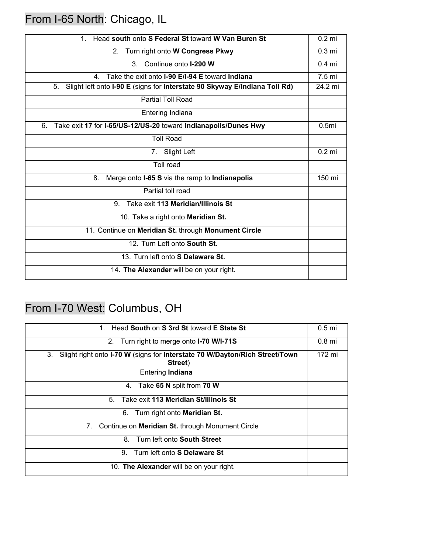### From I-65 North: Chicago, IL

| Head south onto S Federal St toward W Van Buren St<br>$1_{-}$                    | $0.2$ mi          |
|----------------------------------------------------------------------------------|-------------------|
| Turn right onto W Congress Pkwy<br>2.                                            | 0.3 <sub>mi</sub> |
| $3_{-}$<br>Continue onto <b>I-290 W</b>                                          | $0.4$ mi          |
| Take the exit onto <b>I-90 E/I-94 E</b> toward <b>Indiana</b><br>4.              | 7.5 <sub>mi</sub> |
| Slight left onto I-90 E (signs for Interstate 90 Skyway E/Indiana Toll Rd)<br>5. | 24.2 mi           |
| <b>Partial Toll Road</b>                                                         |                   |
| Entering Indiana                                                                 |                   |
| Take exit 17 for I-65/US-12/US-20 toward Indianapolis/Dunes Hwy<br>6.            | 0.5 <sub>mi</sub> |
| <b>Toll Road</b>                                                                 |                   |
| 7. Slight Left                                                                   | $0.2$ mi          |
| <b>Toll road</b>                                                                 |                   |
| Merge onto I-65 S via the ramp to Indianapolis<br>8.                             | 150 mi            |
| Partial toll road                                                                |                   |
| Take exit 113 Meridian/Illinois St<br>9                                          |                   |
| 10. Take a right onto Meridian St.                                               |                   |
| 11. Continue on Meridian St. through Monument Circle                             |                   |
| 12. Turn Left onto South St.                                                     |                   |
| 13. Turn left onto S Delaware St.                                                |                   |
| 14. The Alexander will be on your right.                                         |                   |
|                                                                                  |                   |

### From I-70 West: Columbus, OH

| Head South on S 3rd St toward E State St<br>$1 \quad$                                        | 0.5 <sub>mi</sub> |
|----------------------------------------------------------------------------------------------|-------------------|
| 2. Turn right to merge onto <b>I-70 W/I-71S</b>                                              | 0.8 <sub>mi</sub> |
| 3.<br>Slight right onto I-70 W (signs for Interstate 70 W/Dayton/Rich Street/Town<br>Street) | 172 mi            |
| <b>Entering Indiana</b>                                                                      |                   |
| 4. Take 65 N split from 70 W                                                                 |                   |
| Take exit 113 Meridian St/Illinois St<br>5.                                                  |                   |
| Turn right onto <b>Meridian St.</b><br>6.                                                    |                   |
| Continue on Meridian St. through Monument Circle<br>7.                                       |                   |
| 8. Turn left onto South Street                                                               |                   |
| Turn left onto S Delaware St<br>9.                                                           |                   |
| 10. The Alexander will be on your right.                                                     |                   |